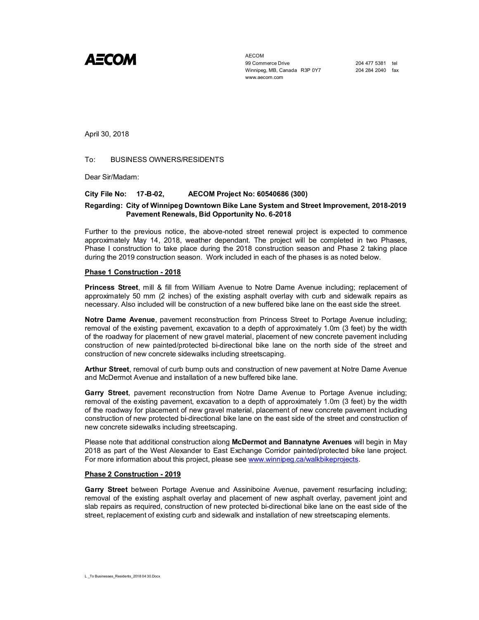

AECOM 99 Commerce Drive 204 477 5381 tel Winnipeg, MB, Canada R3P 0Y7 204 284 2040 fax www.aecom.com

April 30, 2018

## To: BUSINESS OWNERS/RESIDENTS

Dear Sir/Madam:

#### **City File No: 17-B-02, AECOM Project No: 60540686 (300)**

## **Regarding: City of Winnipeg Downtown Bike Lane System and Street Improvement, 2018-2019 Pavement Renewals, Bid Opportunity No. 6-2018**

Further to the previous notice, the above-noted street renewal project is expected to commence approximately May 14, 2018, weather dependant. The project will be completed in two Phases, Phase I construction to take place during the 2018 construction season and Phase 2 taking place during the 2019 construction season. Work included in each of the phases is as noted below.

#### **Phase 1 Construction - 2018**

**Princess Street**, mill & fill from William Avenue to Notre Dame Avenue including; replacement of approximately 50 mm (2 inches) of the existing asphalt overlay with curb and sidewalk repairs as necessary. Also included will be construction of a new buffered bike lane on the east side the street.

**Notre Dame Avenue**, pavement reconstruction from Princess Street to Portage Avenue including; removal of the existing pavement, excavation to a depth of approximately 1.0m (3 feet) by the width of the roadway for placement of new gravel material, placement of new concrete pavement including construction of new painted/protected bi-directional bike lane on the north side of the street and construction of new concrete sidewalks including streetscaping.

**Arthur Street**, removal of curb bump outs and construction of new pavement at Notre Dame Avenue and McDermot Avenue and installation of a new buffered bike lane.

**Garry Street**, pavement reconstruction from Notre Dame Avenue to Portage Avenue including; removal of the existing pavement, excavation to a depth of approximately 1.0m (3 feet) by the width of the roadway for placement of new gravel material, placement of new concrete pavement including construction of new protected bi-directional bike lane on the east side of the street and construction of new concrete sidewalks including streetscaping.

Please note that additional construction along **McDermot and Bannatyne Avenues** will begin in May 2018 as part of the West Alexander to East Exchange Corridor painted/protected bike lane project. For more information about this project, please see www.winnipeg.ca/walkbikeprojects.

### **Phase 2 Construction - 2019**

**Garry Street** between Portage Avenue and Assiniboine Avenue, pavement resurfacing including; removal of the existing asphalt overlay and placement of new asphalt overlay, pavement joint and slab repairs as required, construction of new protected bi-directional bike lane on the east side of the street, replacement of existing curb and sidewalk and installation of new streetscaping elements.